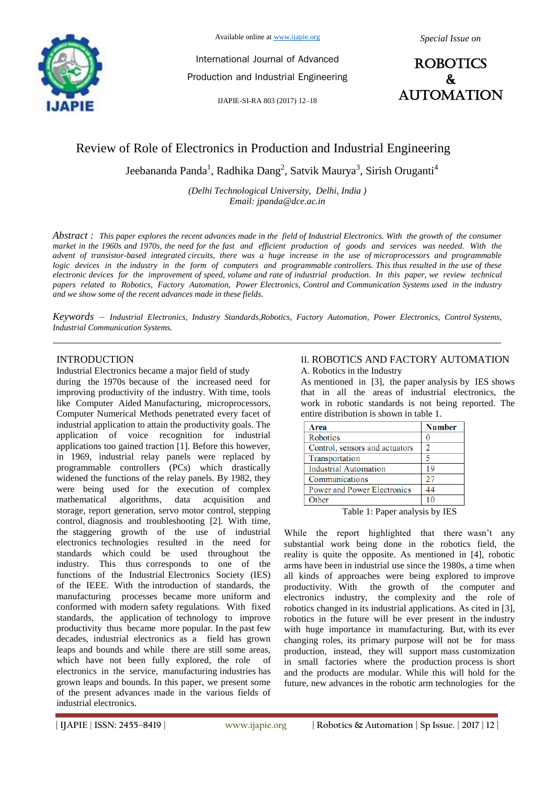

International Journal of Advanced Production and Industrial Engineering

IJAPIE-SI-RA 803 (2017) 12–18



# Review of Role of Electronics in Production and Industrial Engineering

Jeebananda Panda $^1$ , Radhika Dang $^2$ , Satvik Maurya $^3$ , Sirish Oruganti $^4$ 

*(Delhi Technological University, Delhi, India ) Email: jpanda@dce.ac.in*

*Abstract : This paper explores the recent advances made in the field of Industrial Electronics. With the growth of the consumer market in the 1960s and 1970s, the need for the fast and efficient production of goods and services was needed. With the advent of transistor-based integrated circuits, there was a huge increase in the use of microprocessors and programmable*  logic devices in the industry in the form of computers and programmable controllers. This thus resulted in the use of these *electronic devices for the improvement of speed, volume and rate of industrial production. In this paper, we review technical papers related to Robotics, Factory Automation, Power Electronics, Control and Communication Systems used in the industry and we show some of the recent advances made in these fields.*

*Keywords – Industrial Electronics, Industry Standards,Robotics, Factory Automation, Power Electronics, Control Systems, Industrial Communication Systems.*

## INTRODUCTION

Industrial Electronics became a major field of study

during the 1970s because of the increased need for improving productivity of the industry. With time, tools like Computer Aided Manufacturing, microprocessors, Computer Numerical Methods penetrated every facet of industrial application to attain the productivity goals. The application of voice recognition for industrial applications too gained traction [1]. Before this however, in 1969, industrial relay panels were replaced by programmable controllers (PCs) which drastically widened the functions of the relay panels. By 1982, they were being used for the execution of complex mathematical algorithms, data acquisition and storage, report generation, servo motor control, stepping control, diagnosis and troubleshooting [2]. With time, the staggering growth of the use of industrial electronics technologies resulted in the need for standards which could be used throughout the industry. This thus corresponds to one of the functions of the Industrial Electronics Society (IES) of the IEEE. With the introduction of standards, the manufacturing processes became more uniform and conformed with modern safety regulations. With fixed standards, the application of technology to improve productivity thus became more popular. In the past few decades, industrial electronics as a field has grown leaps and bounds and while there are still some areas, which have not been fully explored, the role of electronics in the service, manufacturing industries has grown leaps and bounds. In this paper, we present some of the present advances made in the various fields of industrial electronics.

#### II. ROBOTICS AND FACTORY AUTOMATION A. Robotics in the Industry

As mentioned in [3], the paper analysis by IES shows that in all the areas of industrial electronics, the work in robotic standards is not being reported. The entire distribution is shown in table 1.

| <b>Number</b> |
|---------------|
|               |
| 2             |
|               |
| 19            |
| 27            |
| 44            |
|               |
|               |

Table 1: Paper analysis by IES

While the report highlighted that there wasn't any substantial work being done in the robotics field, the reality is quite the opposite. As mentioned in [4], robotic arms have been in industrial use since the 1980s, a time when all kinds of approaches were being explored to improve productivity. With the growth of the computer and electronics industry, the complexity and the role of robotics changed in its industrial applications. As cited in [3], robotics in the future will be ever present in the industry with huge importance in manufacturing. But, with its ever changing roles, its primary purpose will not be for mass production, instead, they will support mass customization in small factories where the production process is short and the products are modular. While this will hold for the future, new advances in the robotic arm technologies for the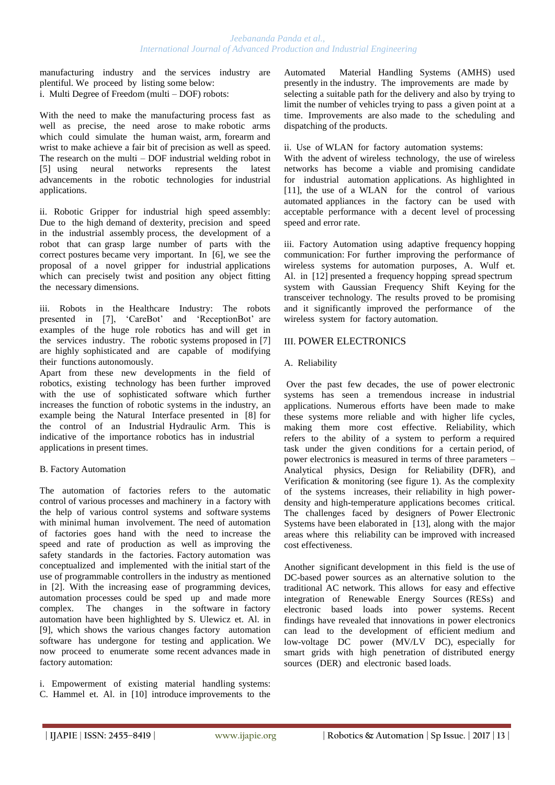#### *Jeebananda Panda et al., International Journal of Advanced Production and Industrial Engineering*

manufacturing industry and the services industry are plentiful. We proceed by listing some below: i. Multi Degree of Freedom (multi – DOF) robots:

With the need to make the manufacturing process fast as well as precise, the need arose to make robotic arms which could simulate the human waist, arm, forearm and wrist to make achieve a fair bit of precision as well as speed. The research on the multi – DOF industrial welding robot in [5] using neural networks represents the latest advancements in the robotic technologies for industrial applications.

ii. Robotic Gripper for industrial high speed assembly: Due to the high demand of dexterity, precision and speed in the industrial assembly process, the development of a robot that can grasp large number of parts with the correct postures became very important. In [6], we see the proposal of a novel gripper for industrial applications which can precisely twist and position any object fitting the necessary dimensions.

iii. Robots in the Healthcare Industry: The robots presented in [7], 'CareBot' and 'ReceptionBot' are examples of the huge role robotics has and will get in the services industry. The robotic systems proposed in [7] are highly sophisticated and are capable of modifying their functions autonomously.

Apart from these new developments in the field of robotics, existing technology has been further improved with the use of sophisticated software which further increases the function of robotic systems in the industry, an example being the Natural Interface presented in [8] for the control of an Industrial Hydraulic Arm. This is indicative of the importance robotics has in industrial applications in present times.

## B. Factory Automation

The automation of factories refers to the automatic control of various processes and machinery in a factory with the help of various control systems and software systems with minimal human involvement. The need of automation of factories goes hand with the need to increase the speed and rate of production as well as improving the safety standards in the factories. Factory automation was conceptualized and implemented with the initial start of the use of programmable controllers in the industry as mentioned in [2]. With the increasing ease of programming devices, automation processes could be sped up and made more complex. The changes in the software in factory automation have been highlighted by S. Ulewicz et. Al. in [9], which shows the various changes factory automation software has undergone for testing and application. We now proceed to enumerate some recent advances made in factory automation:

i. Empowerment of existing material handling systems: C. Hammel et. Al. in [10] introduce improvements to the

Automated Material Handling Systems (AMHS) used presently in the industry. The improvements are made by selecting a suitable path for the delivery and also by trying to limit the number of vehicles trying to pass a given point at a time. Improvements are also made to the scheduling and dispatching of the products.

ii. Use of WLAN for factory automation systems:

With the advent of wireless technology, the use of wireless networks has become a viable and promising candidate for industrial automation applications. As highlighted in [11], the use of a WLAN for the control of various automated appliances in the factory can be used with acceptable performance with a decent level of processing speed and error rate.

iii. Factory Automation using adaptive frequency hopping communication: For further improving the performance of wireless systems for automation purposes, A. Wulf et. Al. in [12] presented a frequency hopping spread spectrum system with Gaussian Frequency Shift Keying for the transceiver technology. The results proved to be promising and it significantly improved the performance of the wireless system for factory automation.

## III. POWER ELECTRONICS

## A. Reliability

Over the past few decades, the use of power electronic systems has seen a tremendous increase in industrial applications. Numerous efforts have been made to make these systems more reliable and with higher life cycles, making them more cost effective. Reliability, which refers to the ability of a system to perform a required task under the given conditions for a certain period, of power electronics is measured in terms of three parameters – Analytical physics, Design for Reliability (DFR), and Verification  $&$  monitoring (see figure 1). As the complexity of the systems increases, their reliability in high powerdensity and high-temperature applications becomes critical. The challenges faced by designers of Power Electronic Systems have been elaborated in [13], along with the major areas where this reliability can be improved with increased cost effectiveness.

Another significant development in this field is the use of DC-based power sources as an alternative solution to the traditional AC network. This allows for easy and effective integration of Renewable Energy Sources (RESs) and electronic based loads into power systems. Recent findings have revealed that innovations in power electronics can lead to the development of efficient medium and low-voltage DC power (MV/LV DC), especially for smart grids with high penetration of distributed energy sources (DER) and electronic based loads.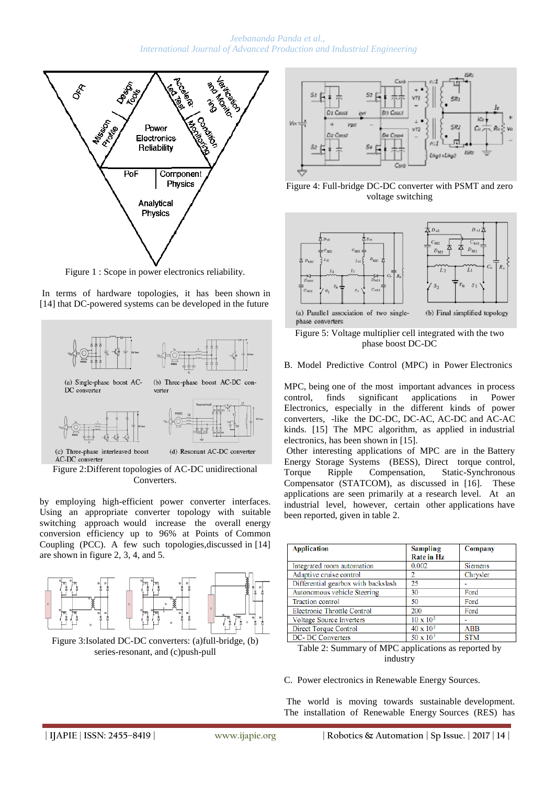

Figure 1 : Scope in power electronics reliability.





Figure 2:Different topologies of AC-DC unidirectional Converters.

by employing high-efficient power converter interfaces. Using an appropriate converter topology with suitable switching approach would increase the overall energy conversion efficiency up to 96% at Points of Common Coupling (PCC). A few such topologies,discussed in [14] are shown in figure 2, 3, 4, and 5.



Figure 3:Isolated DC-DC converters: (a)full-bridge, (b) series-resonant, and (c)push-pull



Figure 4: Full-bridge DC-DC converter with PSMT and zero voltage switching



phase converters

Figure 5: Voltage multiplier cell integrated with the two phase boost DC-DC

B. Model Predictive Control (MPC) in Power Electronics

MPC, being one of the most important advances in process control, finds significant applications in Power Electronics, especially in the different kinds of power converters, -like the DC-DC, DC-AC, AC-DC and AC-AC kinds. [15] The MPC algorithm, as applied in industrial electronics, has been shown in [15].

Other interesting applications of MPC are in the Battery Energy Storage Systems (BESS), Direct torque control, Torque Ripple Compensation, Static-Synchronous Compensator (STATCOM), as discussed in [16]. These applications are seen primarily at a research level. At an industrial level, however, certain other applications have been reported, given in table 2.

| <b>Application</b>                  | <b>Sampling</b><br><b>Rate in Hz</b> | Company        |
|-------------------------------------|--------------------------------------|----------------|
| Integrated room automation          | 0.002                                | <b>Siemens</b> |
| Adaptive cruise control             |                                      | Chrysler       |
| Differential gearbox with backslash | 25                                   |                |
| Autonomous vehicle Steering         | 30                                   | Ford           |
| <b>Traction</b> control             | 50                                   | Ford           |
| Electronic Throttle Control         | 200                                  | Ford           |
| <b>Voltage Source Inverters</b>     | $10 \times 10^{3}$                   |                |
| Direct Torque Control               | $40 \times 10^{3}$                   | <b>ABB</b>     |
| <b>DC</b> -DC Converters            | $50 \times 10^{3}$                   | <b>STM</b>     |

Table 2: Summary of MPC applications as reported by industry

C. Power electronics in Renewable Energy Sources.

The world is moving towards sustainable development. The installation of Renewable Energy Sources (RES) has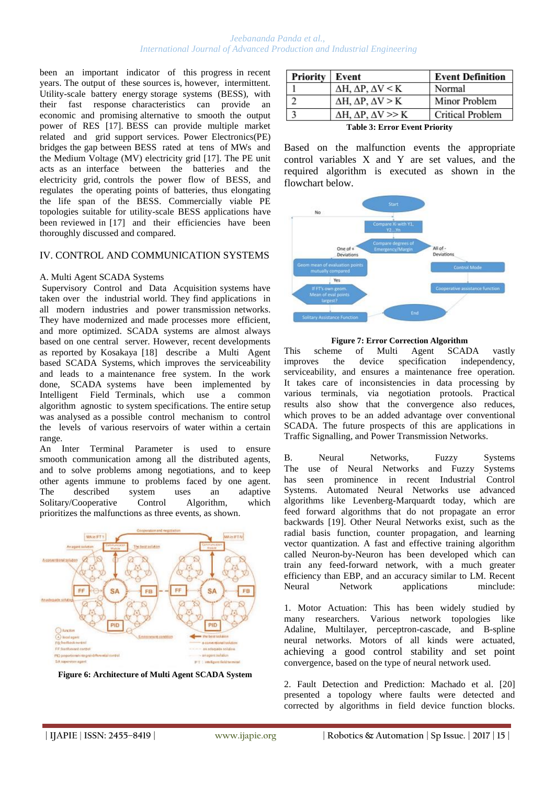#### *Jeebananda Panda et al., International Journal of Advanced Production and Industrial Engineering*

been an important indicator of this progress in recent years. The output of these sources is, however, intermittent. Utility-scale battery energy storage systems (BESS), with their fast response characteristics can provide an economic and promising alternative to smooth the output power of RES [17]. BESS can provide multiple market related and grid support services. Power Electronics(PE) bridges the gap between BESS rated at tens of MWs and the Medium Voltage (MV) electricity grid [17]. The PE unit acts as an interface between the batteries and the electricity grid, controls the power flow of BESS, and regulates the operating points of batteries, thus elongating the life span of the BESS. Commercially viable PE topologies suitable for utility-scale BESS applications have been reviewed in [17] and their efficiencies have been thoroughly discussed and compared.

#### IV. CONTROL AND COMMUNICATION SYSTEMS

#### A. Multi Agent SCADA Systems

Supervisory Control and Data Acquisition systems have taken over the industrial world. They find applications in all modern industries and power transmission networks. They have modernized and made processes more efficient, and more optimized. SCADA systems are almost always based on one central server. However, recent developments as reported by Kosakaya [18] describe a Multi Agent based SCADA Systems, which improves the serviceability and leads to a maintenance free system. In the work done, SCADA systems have been implemented by Intelligent Field Terminals, which use a common algorithm agnostic to system specifications. The entire setup was analysed as a possible control mechanism to control the levels of various reservoirs of water within a certain range.

An Inter Terminal Parameter is used to ensure smooth communication among all the distributed agents, and to solve problems among negotiations, and to keep other agents immune to problems faced by one agent. The described system uses an adaptive Solitary/Cooperative Control Algorithm, which prioritizes the malfunctions as three events, as shown.





| Priority                             | Event                                      | <b>Event Definition</b> |  |
|--------------------------------------|--------------------------------------------|-------------------------|--|
|                                      | $\Delta H$ , $\Delta P$ , $\Delta V$ < K   | Normal                  |  |
| C                                    | $\Delta H$ , $\Delta P$ , $\Delta V > K$   | Minor Problem           |  |
|                                      | $\Delta H$ , $\Delta P$ , $\Delta V \gg K$ | Critical Problem        |  |
| <b>Table 3: Error Event Priority</b> |                                            |                         |  |

Based on the malfunction events the appropriate control variables X and Y are set values, and the required algorithm is executed as shown in the flowchart below.



#### **Figure 7: Error Correction Algorithm**

This scheme of Multi Agent SCADA vastly improves the device specification independency, serviceability, and ensures a maintenance free operation. It takes care of inconsistencies in data processing by various terminals, via negotiation protools. Practical results also show that the convergence also reduces, which proves to be an added advantage over conventional SCADA. The future prospects of this are applications in Traffic Signalling, and Power Transmission Networks.

B. Neural Networks, Fuzzy Systems The use of Neural Networks and Fuzzy Systems has seen prominence in recent Industrial Control Systems. Automated Neural Networks use advanced algorithms like Levenberg-Marquardt today, which are feed forward algorithms that do not propagate an error backwards [19]. Other Neural Networks exist, such as the radial basis function, counter propagation, and learning vector quantization. A fast and effective training algorithm called Neuron-by-Neuron has been developed which can train any feed-forward network, with a much greater efficiency than EBP, and an accuracy similar to LM. Recent Neural Network applications minclude:

1. Motor Actuation: This has been widely studied by many researchers. Various network topologies like Adaline, Multilayer, perceptron-cascade, and B-spline neural networks. Motors of all kinds were actuated, achieving a good control stability and set point convergence, based on the type of neural network used.

2. Fault Detection and Prediction: Machado et al. [20] presented a topology where faults were detected and corrected by algorithms in field device function blocks.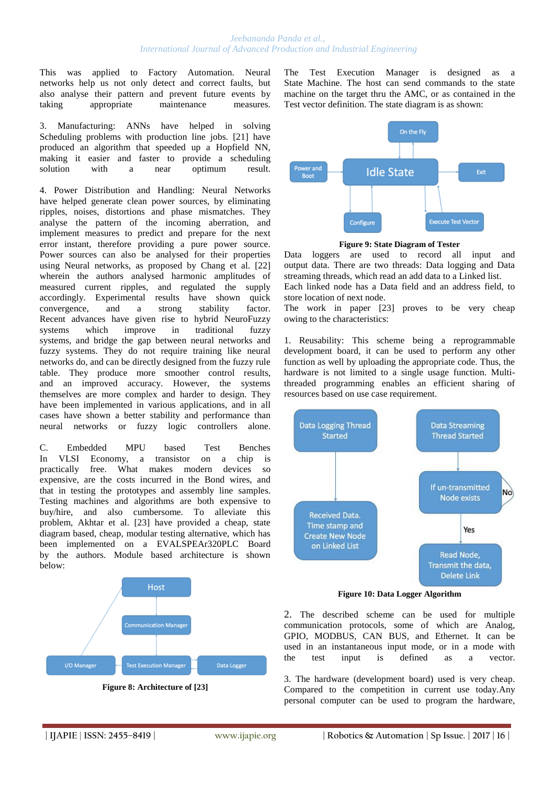#### *Jeebananda Panda et al., International Journal of Advanced Production and Industrial Engineering*

This was applied to Factory Automation. Neural networks help us not only detect and correct faults, but also analyse their pattern and prevent future events by taking appropriate maintenance measures.

3. Manufacturing: ANNs have helped in solving Scheduling problems with production line jobs. [21] have produced an algorithm that speeded up a Hopfield NN, making it easier and faster to provide a scheduling<br>solution with a near optimum result. solution with a near optimum result.

4. Power Distribution and Handling: Neural Networks have helped generate clean power sources, by eliminating ripples, noises, distortions and phase mismatches. They analyse the pattern of the incoming aberration, and implement measures to predict and prepare for the next error instant, therefore providing a pure power source. Power sources can also be analysed for their properties using Neural networks, as proposed by Chang et al. [22] wherein the authors analysed harmonic amplitudes of measured current ripples, and regulated the supply accordingly. Experimental results have shown quick convergence, and a strong stability factor. Recent advances have given rise to hybrid NeuroFuzzy systems which improve in traditional fuzzy systems, and bridge the gap between neural networks and fuzzy systems. They do not require training like neural networks do, and can be directly designed from the fuzzy rule table. They produce more smoother control results, and an improved accuracy. However, the systems themselves are more complex and harder to design. They have been implemented in various applications, and in all cases have shown a better stability and performance than neural networks or fuzzy logic controllers alone.

C. Embedded MPU based Test Benches In VLSI Economy, a transistor on a chip is practically free. What makes modern devices so expensive, are the costs incurred in the Bond wires, and that in testing the prototypes and assembly line samples. Testing machines and algorithms are both expensive to buy/hire, and also cumbersome. To alleviate this problem, Akhtar et al. [23] have provided a cheap, state diagram based, cheap, modular testing alternative, which has been implemented on a EVALSPEAr320PLC Board by the authors. Module based architecture is shown below:



The Test Execution Manager is designed as State Machine. The host can send commands to the state machine on the target thru the AMC, or as contained in the Test vector definition. The state diagram is as shown:



**Figure 9: State Diagram of Tester**

Data loggers are used to record all input and output data. There are two threads: Data logging and Data streaming threads, which read an add data to a Linked list.

Each linked node has a Data field and an address field, to store location of next node.

The work in paper [23] proves to be very cheap owing to the characteristics:

1. Reusability: This scheme being a reprogrammable development board, it can be used to perform any other function as well by uploading the appropriate code. Thus, the hardware is not limited to a single usage function. Multithreaded programming enables an efficient sharing of resources based on use case requirement.



**Figure 10: Data Logger Algorithm**

2. The described scheme can be used for multiple communication protocols, some of which are Analog, GPIO, MODBUS, CAN BUS, and Ethernet. It can be used in an instantaneous input mode, or in a mode with the test input is defined as a vector.

3. The hardware (development board) used is very cheap. Compared to the competition in current use today.Any personal computer can be used to program the hardware,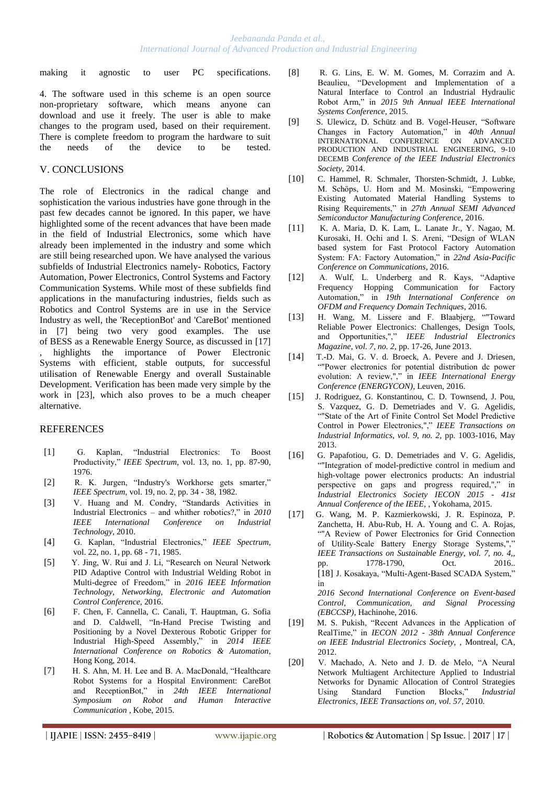making it agnostic to user PC specifications.

4. The software used in this scheme is an open source non-proprietary software, which means anyone can download and use it freely. The user is able to make changes to the program used, based on their requirement. There is complete freedom to program the hardware to suit the needs of the device to be tested.

## V. CONCLUSIONS

The role of Electronics in the radical change and sophistication the various industries have gone through in the past few decades cannot be ignored. In this paper, we have highlighted some of the recent advances that have been made in the field of Industrial Electronics, some which have already been implemented in the industry and some which are still being researched upon. We have analysed the various subfields of Industrial Electronics namely- Robotics, Factory Automation, Power Electronics, Control Systems and Factory Communication Systems. While most of these subfields find applications in the manufacturing industries, fields such as Robotics and Control Systems are in use in the Service Industry as well, the 'ReceptionBot' and 'CareBot' mentioned in [7] being two very good examples. The use of BESS as a Renewable Energy Source, as discussed in [17] highlights the importance of Power Electronic Systems with efficient, stable outputs, for successful utilisation of Renewable Energy and overall Sustainable Development. Verification has been made very simple by the work in [23], which also proves to be a much cheaper alternative.

#### REFERENCES

- [1] G. Kaplan, "Industrial Electronics: To Boost Productivity," *IEEE Spectrum,* vol. 13, no. 1, pp. 87-90, 1976.
- [2] R. K. Jurgen, "Industry's Workhorse gets smarter," *IEEE Spectrum,* vol. 19, no. 2, pp. 34 - 38, 1982.
- [3] V. Huang and M. Condry, "Standards Activities in Industrial Electronics – and whither robotics?," in *2010 IEEE International Conference on Industrial Technology*, 2010.
- [4] G. Kaplan, "Industrial Electronics," *IEEE Spectrum,* vol. 22, no. 1, pp. 68 - 71, 1985.
- [5] Y. Jing, W. Rui and J. Li, "Research on Neural Network PID Adaptive Control with Industrial Welding Robot in Multi-degree of Freedom," in *2016 IEEE Information Technology, Networking, Electronic and Automation Control Conference*, 2016.
- [6] F. Chen, F. Cannella, C. Canali, T. Hauptman, G. Sofia and D. Caldwell, "In-Hand Precise Twisting and Positioning by a Novel Dexterous Robotic Gripper for Industrial High-Speed Assembly," in *2014 IEEE International Conference on Robotics & Automation*, Hong Kong, 2014.
- [7] H. S. Ahn, M. H. Lee and B. A. MacDonald, "Healthcare Robot Systems for a Hospital Environment: CareBot and ReceptionBot," in *24th IEEE International Symposium on Robot and Human Interactive Communication* , Kobe, 2015.
- [8] R. G. Lins, E. W. M. Gomes, M. Corrazim and A. Beaulieu, "Development and Implementation of a Natural Interface to Control an Industrial Hydraulic Robot Arm," in *2015 9th Annual IEEE International Systems Conference*, 2015.
- [9] S. Ulewicz, D. Schütz and B. Vogel-Heuser, "Software Changes in Factory Automation," in *40th Annual* INTERNATIONAL CONFERENCE ON ADVANCED PRODUCTION AND INDUSTRIAL ENGINEERING, 9-10 DECEMB *Conference of the IEEE Industrial Electronics Society*, 2014.
- [10] C. Hammel, R. Schmaler, Thorsten-Schmidt, J. Lubke, M. Schöps, U. Horn and M. Mosinski, "Empowering Existing Automated Material Handling Systems to Rising Requirements," in *27th Annual SEMI Advanced Semiconductor Manufacturing Conference*, 2016.
- [11] K. A. Maria, D. K. Lam, L. Lanate Jr., Y. Nagao, M. Kurosaki, H. Ochi and I. S. Areni, "Design of WLAN based system for Fast Protocol Factory Automation System: FA: Factory Automation," in *22nd Asia-Pacific Conference on Communications*, 2016.
- [12] A. Wulf, L. Underberg and R. Kays, "Adaptive Frequency Hopping Communication for Factory Automation," in *19th International Conference on OFDM and Frequency Domain Techniques*, 2016.
- [13] H. Wang, M. Lissere and F. Blaabjerg, ""Toward Reliable Power Electronics: Challenges, Design Tools, and Opportunities,"," *IEEE Industrial Electronics Magazine, vol. 7, no. 2,* pp. 17-26, June 2013.
- [14] T.-D. Mai, G. V. d. Broeck, A. Pevere and J. Driesen, ""Power electronics for potential distribution dc power evolution: A review,"," in *IEEE International Energy Conference (ENERGYCON)*, Leuven, 2016.
- [15] J. Rodriguez, G. Konstantinou, C. D. Townsend, J. Pou, S. Vazquez, G. D. Demetriades and V. G. Agelidis, ""State of the Art of Finite Control Set Model Predictive Control in Power Electronics,"," *IEEE Transactions on Industrial Informatics, vol. 9, no. 2,* pp. 1003-1016, May 2013.
- [16] G. Papafotiou, G. D. Demetriades and V. G. Agelidis, ""Integration of model-predictive control in medium and high-voltage power electronics products: An industrial perspective on gaps and progress required,"," in *Industrial Electronics Society IECON 2015 - 41st Annual Conference of the IEEE,* , Yokohama, 2015.
- [17] G. Wang, M. P. Kazmierkowski, J. R. Espinoza, P. Zanchetta, H. Abu-Rub, H. A. Young and C. A. Rojas, ""A Review of Power Electronics for Grid Connection of Utility-Scale Battery Energy Storage Systems,"," *IEEE Transactions on Sustainable Energy, vol. 7, no. 4,,* pp. 1778-1790, Oct. 2016.. [18] J. Kosakaya, "MuIti-Agent-Based SCADA System," in

*2016 Second International Conference on Event-based Control, Communication, and Signal Processing (EBCCSP)*, Hachinohe, 2016.

- [19] M. S. Pukish, "Recent Advances in the Application of RealTime," in *IECON 2012 - 38th Annual Conference on IEEE Industrial Electronics Society,* , Montreal, CA, 2012.
- [20] V. Machado, A. Neto and J. D. de Melo, "A Neural Network Multiagent Architecture Applied to Industrial Networks for Dynamic Allocation of Control Strategies Using Standard Function Blocks," *Industrial Electronics, IEEE Transactions on, vol. 57,* 2010.